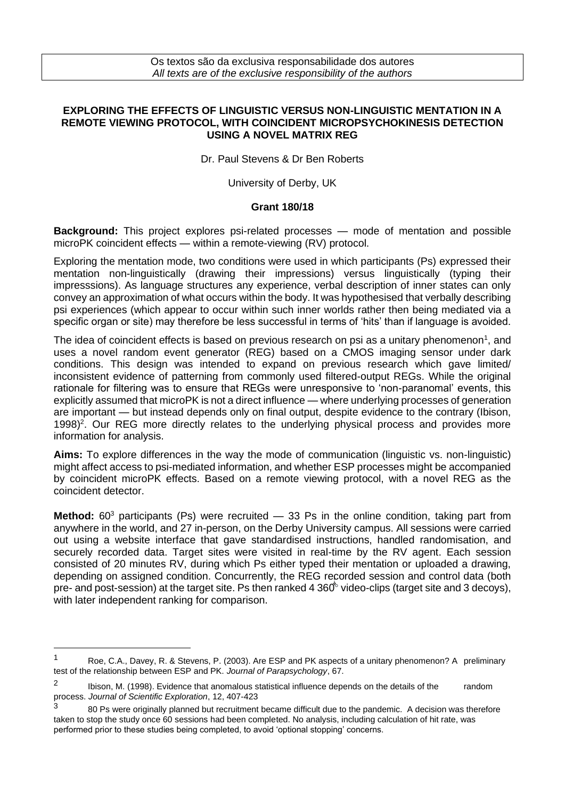## **EXPLORING THE EFFECTS OF LINGUISTIC VERSUS NON-LINGUISTIC MENTATION IN A REMOTE VIEWING PROTOCOL, WITH COINCIDENT MICROPSYCHOKINESIS DETECTION USING A NOVEL MATRIX REG**

Dr. Paul Stevens & Dr Ben Roberts

University of Derby, UK

## **Grant 180/18**

**Background:** This project explores psi-related processes — mode of mentation and possible microPK coincident effects — within a remote-viewing (RV) protocol.

Exploring the mentation mode, two conditions were used in which participants (Ps) expressed their mentation non-linguistically (drawing their impressions) versus linguistically (typing their impresssions). As language structures any experience, verbal description of inner states can only convey an approximation of what occurs within the body. It was hypothesised that verbally describing psi experiences (which appear to occur within such inner worlds rather then being mediated via a specific organ or site) may therefore be less successful in terms of 'hits' than if language is avoided.

The idea of coincident effects is based on previous research on psi as a unitary phenomenon<sup>1</sup>, and uses a novel random event generator (REG) based on a CMOS imaging sensor under dark conditions. This design was intended to expand on previous research which gave limited/ inconsistent evidence of patterning from commonly used filtered-output REGs. While the original rationale for filtering was to ensure that REGs were unresponsive to 'non-paranomal' events, this explicitly assumed that microPK is not a direct influence — where underlying processes of generation are important — but instead depends only on final output, despite evidence to the contrary (Ibison, 1998)<sup>2</sup>. Our REG more directly relates to the underlying physical process and provides more information for analysis.

**Aims:** To explore differences in the way the mode of communication (linguistic vs. non-linguistic) might affect access to psi-mediated information, and whether ESP processes might be accompanied by coincident microPK effects. Based on a remote viewing protocol, with a novel REG as the coincident detector.

**Method:** 60<sup>3</sup> participants (Ps) were recruited — 33 Ps in the online condition, taking part from anywhere in the world, and 27 in-person, on the Derby University campus. All sessions were carried out using a website interface that gave standardised instructions, handled randomisation, and securely recorded data. Target sites were visited in real-time by the RV agent. Each session consisted of 20 minutes RV, during which Ps either typed their mentation or uploaded a drawing, depending on assigned condition. Concurrently, the REG recorded session and control data (both pre- and post-session) at the target site. Ps then ranked 4  $360^{\circ}$  video-clips (target site and 3 decoys),  $\ddot{\phantom{a}}$ i with later independent ranking for comparison.

<sup>1</sup> Roe, C.A., Davey, R. & Stevens, P. (2003). Are ESP and PK aspects of a unitary phenomenon? A preliminary test of the relationship between ESP and PK. *Journal of Parapsychology*, 67.

<sup>2</sup> Ibison, M. (1998). Evidence that anomalous statistical influence depends on the details of the random process. *Journal of Scientific Exploration*, 12, 407-423

<sup>3</sup> 80 Ps were originally planned but recruitment became difficult due to the pandemic. A decision was therefore taken to stop the study once 60 sessions had been completed. No analysis, including calculation of hit rate, was performed prior to these studies being completed, to avoid 'optional stopping' concerns.